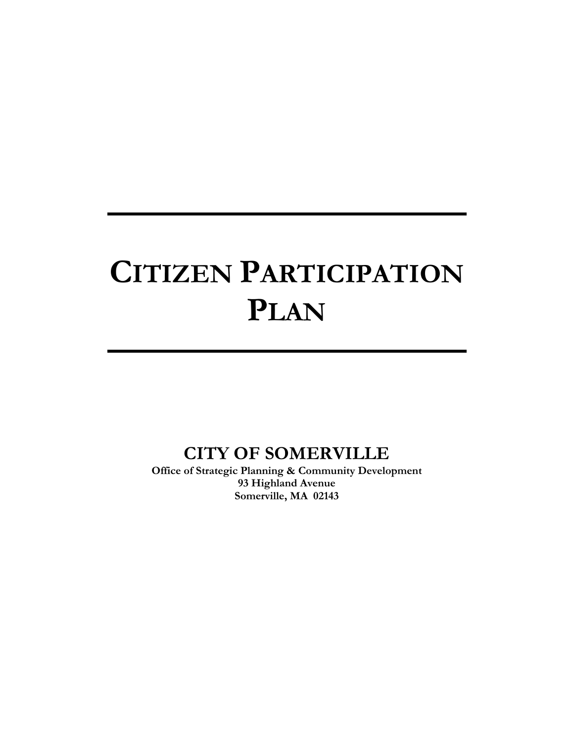# **CITIZEN PARTICIPATION PLAN**

# **CITY OF SOMERVILLE**

**Office of Strategic Planning & Community Development 93 Highland Avenue Somerville, MA 02143**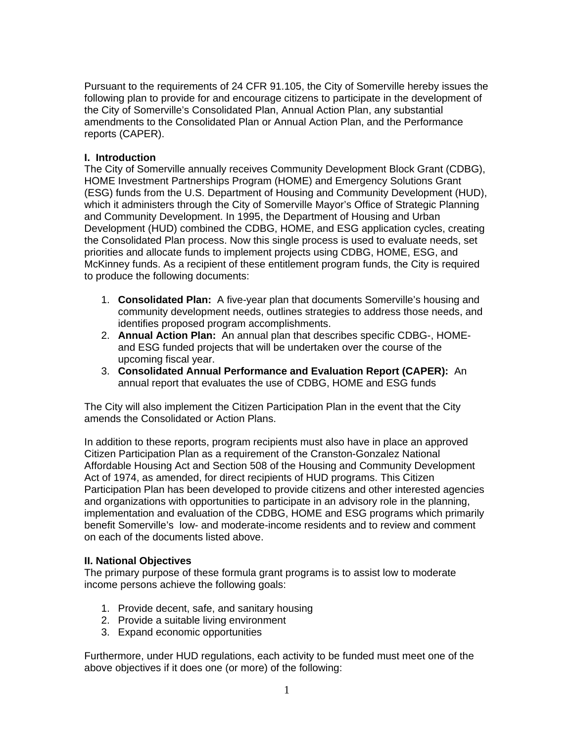Pursuant to the requirements of 24 CFR 91.105, the City of Somerville hereby issues the following plan to provide for and encourage citizens to participate in the development of the City of Somerville's Consolidated Plan, Annual Action Plan, any substantial amendments to the Consolidated Plan or Annual Action Plan, and the Performance reports (CAPER).

#### **I. Introduction**

The City of Somerville annually receives Community Development Block Grant (CDBG), HOME Investment Partnerships Program (HOME) and Emergency Solutions Grant (ESG) funds from the U.S. Department of Housing and Community Development (HUD), which it administers through the City of Somerville Mayor's Office of Strategic Planning and Community Development. In 1995, the Department of Housing and Urban Development (HUD) combined the CDBG, HOME, and ESG application cycles, creating the Consolidated Plan process. Now this single process is used to evaluate needs, set priorities and allocate funds to implement projects using CDBG, HOME, ESG, and McKinney funds. As a recipient of these entitlement program funds, the City is required to produce the following documents:

- 1. **Consolidated Plan:** A five-year plan that documents Somerville's housing and community development needs, outlines strategies to address those needs, and identifies proposed program accomplishments.
- 2. **Annual Action Plan:** An annual plan that describes specific CDBG-, HOMEand ESG funded projects that will be undertaken over the course of the upcoming fiscal year.
- 3. **Consolidated Annual Performance and Evaluation Report (CAPER):** An annual report that evaluates the use of CDBG, HOME and ESG funds

The City will also implement the Citizen Participation Plan in the event that the City amends the Consolidated or Action Plans.

In addition to these reports, program recipients must also have in place an approved Citizen Participation Plan as a requirement of the Cranston-Gonzalez National Affordable Housing Act and Section 508 of the Housing and Community Development Act of 1974, as amended, for direct recipients of HUD programs. This Citizen Participation Plan has been developed to provide citizens and other interested agencies and organizations with opportunities to participate in an advisory role in the planning, implementation and evaluation of the CDBG, HOME and ESG programs which primarily benefit Somerville's low- and moderate-income residents and to review and comment on each of the documents listed above.

#### **II. National Objectives**

The primary purpose of these formula grant programs is to assist low to moderate income persons achieve the following goals:

- 1. Provide decent, safe, and sanitary housing
- 2. Provide a suitable living environment
- 3. Expand economic opportunities

Furthermore, under HUD regulations, each activity to be funded must meet one of the above objectives if it does one (or more) of the following: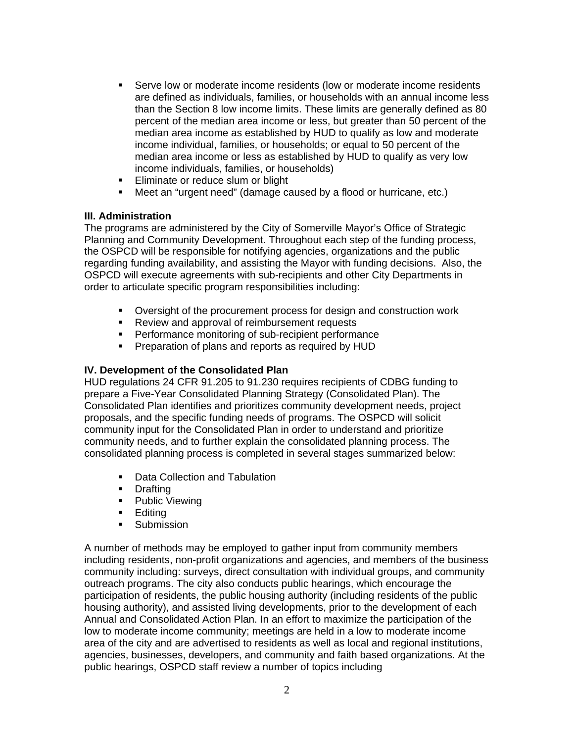- Serve low or moderate income residents (low or moderate income residents are defined as individuals, families, or households with an annual income less than the Section 8 low income limits. These limits are generally defined as 80 percent of the median area income or less, but greater than 50 percent of the median area income as established by HUD to qualify as low and moderate income individual, families, or households; or equal to 50 percent of the median area income or less as established by HUD to qualify as very low income individuals, families, or households)
- **Eliminate or reduce slum or blight**
- Meet an "urgent need" (damage caused by a flood or hurricane, etc.)

#### **III. Administration**

The programs are administered by the City of Somerville Mayor's Office of Strategic Planning and Community Development. Throughout each step of the funding process, the OSPCD will be responsible for notifying agencies, organizations and the public regarding funding availability, and assisting the Mayor with funding decisions. Also, the OSPCD will execute agreements with sub-recipients and other City Departments in order to articulate specific program responsibilities including:

- Oversight of the procurement process for design and construction work
- **Review and approval of reimbursement requests**
- **Performance monitoring of sub-recipient performance**
- **Preparation of plans and reports as required by HUD**

#### **IV. Development of the Consolidated Plan**

HUD regulations 24 CFR 91.205 to 91.230 requires recipients of CDBG funding to prepare a Five-Year Consolidated Planning Strategy (Consolidated Plan). The Consolidated Plan identifies and prioritizes community development needs, project proposals, and the specific funding needs of programs. The OSPCD will solicit community input for the Consolidated Plan in order to understand and prioritize community needs, and to further explain the consolidated planning process. The consolidated planning process is completed in several stages summarized below:

- Data Collection and Tabulation
- **-** Drafting
- Public Viewing
- **Editing**
- **Submission**

A number of methods may be employed to gather input from community members including residents, non-profit organizations and agencies, and members of the business community including: surveys, direct consultation with individual groups, and community outreach programs. The city also conducts public hearings, which encourage the participation of residents, the public housing authority (including residents of the public housing authority), and assisted living developments, prior to the development of each Annual and Consolidated Action Plan. In an effort to maximize the participation of the low to moderate income community; meetings are held in a low to moderate income area of the city and are advertised to residents as well as local and regional institutions, agencies, businesses, developers, and community and faith based organizations. At the public hearings, OSPCD staff review a number of topics including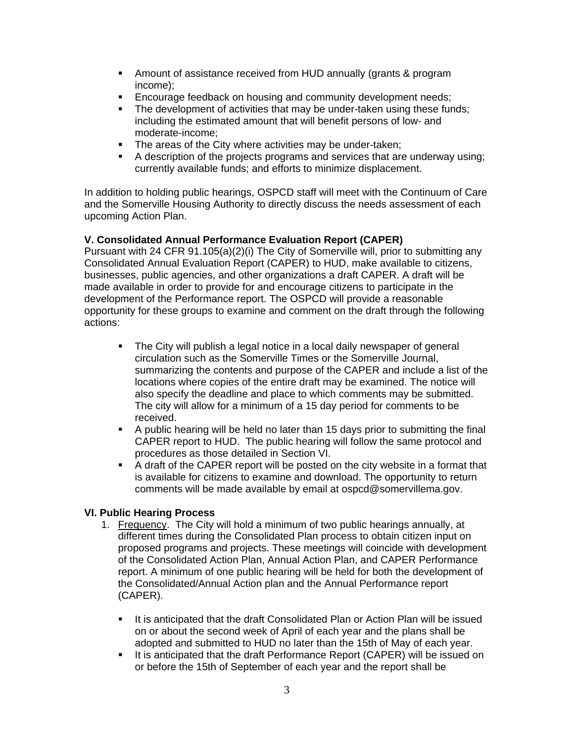- Amount of assistance received from HUD annually (grants & program income);
- **Encourage feedback on housing and community development needs;**<br>**E** The development of activities that may be under-taken using these fur
- The development of activities that may be under-taken using these funds; including the estimated amount that will benefit persons of low- and moderate-income;
- **The areas of the City where activities may be under-taken;**
- A description of the projects programs and services that are underway using; currently available funds; and efforts to minimize displacement.

In addition to holding public hearings, OSPCD staff will meet with the Continuum of Care and the Somerville Housing Authority to directly discuss the needs assessment of each upcoming Action Plan.

# **V. Consolidated Annual Performance Evaluation Report (CAPER)**

Pursuant with 24 CFR 91.105(a)(2)(i) The City of Somerville will, prior to submitting any Consolidated Annual Evaluation Report (CAPER) to HUD, make available to citizens, businesses, public agencies, and other organizations a draft CAPER. A draft will be made available in order to provide for and encourage citizens to participate in the development of the Performance report. The OSPCD will provide a reasonable opportunity for these groups to examine and comment on the draft through the following actions:

- The City will publish a legal notice in a local daily newspaper of general circulation such as the Somerville Times or the Somerville Journal, summarizing the contents and purpose of the CAPER and include a list of the locations where copies of the entire draft may be examined. The notice will also specify the deadline and place to which comments may be submitted. The city will allow for a minimum of a 15 day period for comments to be received.
- A public hearing will be held no later than 15 days prior to submitting the final CAPER report to HUD. The public hearing will follow the same protocol and procedures as those detailed in Section VI.
- A draft of the CAPER report will be posted on the city website in a format that is available for citizens to examine and download. The opportunity to return comments will be made available by email at ospcd@somervillema.gov.

# **VI. Public Hearing Process**

- 1. Frequency. The City will hold a minimum of two public hearings annually, at different times during the Consolidated Plan process to obtain citizen input on proposed programs and projects. These meetings will coincide with development of the Consolidated Action Plan, Annual Action Plan, and CAPER Performance report. A minimum of one public hearing will be held for both the development of the Consolidated/Annual Action plan and the Annual Performance report (CAPER).
	- It is anticipated that the draft Consolidated Plan or Action Plan will be issued on or about the second week of April of each year and the plans shall be adopted and submitted to HUD no later than the 15th of May of each year.
	- If is anticipated that the draft Performance Report (CAPER) will be issued on or before the 15th of September of each year and the report shall be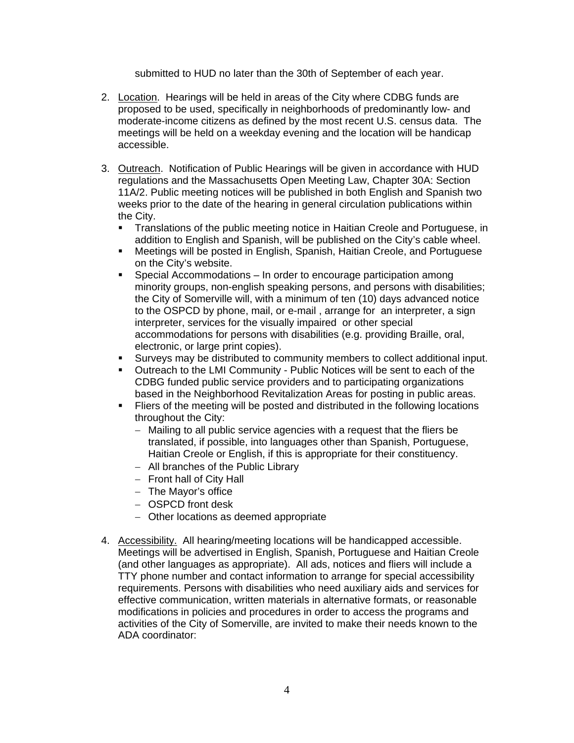submitted to HUD no later than the 30th of September of each year.

- 2. Location. Hearings will be held in areas of the City where CDBG funds are proposed to be used, specifically in neighborhoods of predominantly low- and moderate-income citizens as defined by the most recent U.S. census data. The meetings will be held on a weekday evening and the location will be handicap accessible.
- 3. Outreach. Notification of Public Hearings will be given in accordance with HUD regulations and the Massachusetts Open Meeting Law, Chapter 30A: Section 11A/2. Public meeting notices will be published in both English and Spanish two weeks prior to the date of the hearing in general circulation publications within the City.
	- Translations of the public meeting notice in Haitian Creole and Portuguese, in addition to English and Spanish, will be published on the City's cable wheel.
	- Meetings will be posted in English, Spanish, Haitian Creole, and Portuguese on the City's website.
	- Special Accommodations In order to encourage participation among minority groups, non-english speaking persons, and persons with disabilities; the City of Somerville will, with a minimum of ten (10) days advanced notice to the OSPCD by phone, mail, or e-mail , arrange for an interpreter, a sign interpreter, services for the visually impaired or other special accommodations for persons with disabilities (e.g. providing Braille, oral, electronic, or large print copies).
	- Surveys may be distributed to community members to collect additional input.
	- Outreach to the LMI Community Public Notices will be sent to each of the CDBG funded public service providers and to participating organizations based in the Neighborhood Revitalization Areas for posting in public areas.
	- Fliers of the meeting will be posted and distributed in the following locations throughout the City:
		- Mailing to all public service agencies with a request that the fliers be translated, if possible, into languages other than Spanish, Portuguese, Haitian Creole or English, if this is appropriate for their constituency.
		- All branches of the Public Library
		- $-$  Front hall of City Hall
		- The Mayor's office
		- OSPCD front desk
		- Other locations as deemed appropriate
- 4. Accessibility. All hearing/meeting locations will be handicapped accessible. Meetings will be advertised in English, Spanish, Portuguese and Haitian Creole (and other languages as appropriate). All ads, notices and fliers will include a TTY phone number and contact information to arrange for special accessibility requirements. Persons with disabilities who need auxiliary aids and services for effective communication, written materials in alternative formats, or reasonable modifications in policies and procedures in order to access the programs and activities of the City of Somerville, are invited to make their needs known to the ADA coordinator: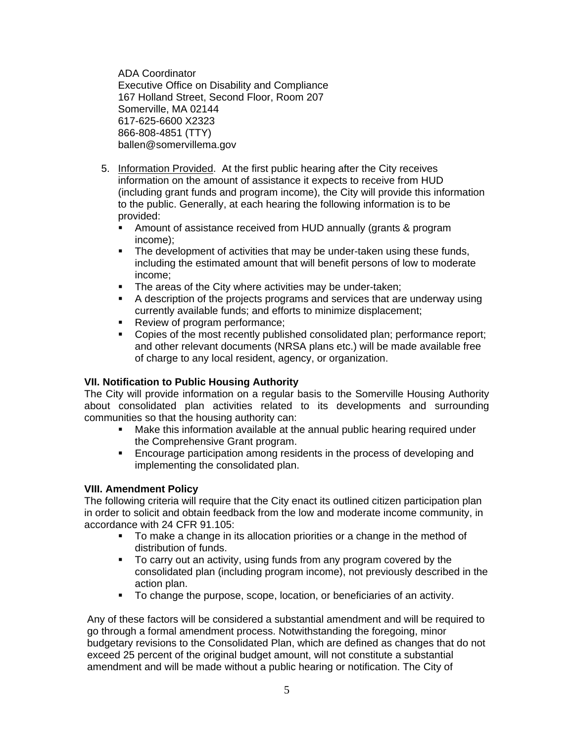ADA Coordinator Executive Office on Disability and Compliance 167 Holland Street, Second Floor, Room 207 Somerville, MA 02144 617-625-6600 X2323 866-808-4851 (TTY) ballen@somervillema.gov

- 5. Information Provided. At the first public hearing after the City receives information on the amount of assistance it expects to receive from HUD (including grant funds and program income), the City will provide this information to the public. Generally, at each hearing the following information is to be provided:
	- Amount of assistance received from HUD annually (grants & program income);
	- **The development of activities that may be under-taken using these funds,** including the estimated amount that will benefit persons of low to moderate income;
	- **The areas of the City where activities may be under-taken;**
	- A description of the projects programs and services that are underway using currently available funds; and efforts to minimize displacement;
	- Review of program performance;
	- Copies of the most recently published consolidated plan; performance report; and other relevant documents (NRSA plans etc.) will be made available free of charge to any local resident, agency, or organization.

# **VII. Notification to Public Housing Authority**

The City will provide information on a regular basis to the Somerville Housing Authority about consolidated plan activities related to its developments and surrounding communities so that the housing authority can:

- Make this information available at the annual public hearing required under the Comprehensive Grant program.
- Encourage participation among residents in the process of developing and implementing the consolidated plan.

#### **VIII. Amendment Policy**

The following criteria will require that the City enact its outlined citizen participation plan in order to solicit and obtain feedback from the low and moderate income community, in accordance with 24 CFR 91.105:

- To make a change in its allocation priorities or a change in the method of distribution of funds.
- To carry out an activity, using funds from any program covered by the consolidated plan (including program income), not previously described in the action plan.
- To change the purpose, scope, location, or beneficiaries of an activity.

Any of these factors will be considered a substantial amendment and will be required to go through a formal amendment process. Notwithstanding the foregoing, minor budgetary revisions to the Consolidated Plan, which are defined as changes that do not exceed 25 percent of the original budget amount, will not constitute a substantial amendment and will be made without a public hearing or notification. The City of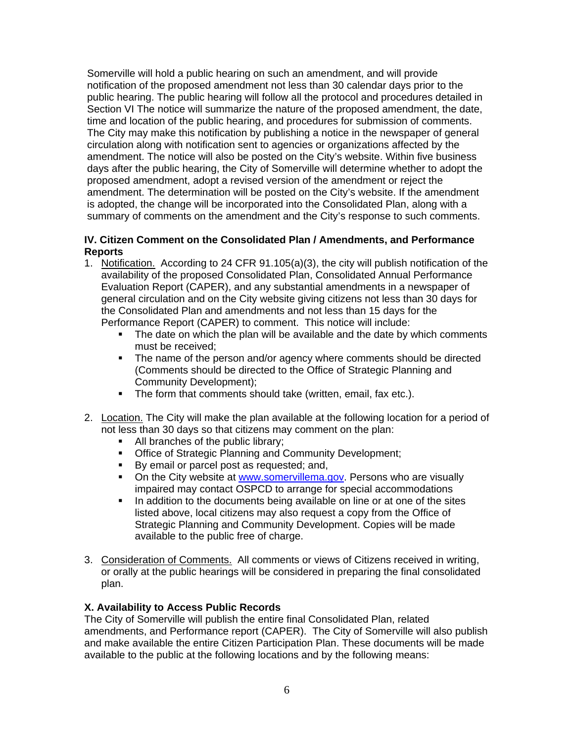Somerville will hold a public hearing on such an amendment, and will provide notification of the proposed amendment not less than 30 calendar days prior to the public hearing. The public hearing will follow all the protocol and procedures detailed in Section VI The notice will summarize the nature of the proposed amendment, the date, time and location of the public hearing, and procedures for submission of comments. The City may make this notification by publishing a notice in the newspaper of general circulation along with notification sent to agencies or organizations affected by the amendment. The notice will also be posted on the City's website. Within five business days after the public hearing, the City of Somerville will determine whether to adopt the proposed amendment, adopt a revised version of the amendment or reject the amendment. The determination will be posted on the City's website. If the amendment is adopted, the change will be incorporated into the Consolidated Plan, along with a summary of comments on the amendment and the City's response to such comments.

# **IV. Citizen Comment on the Consolidated Plan / Amendments, and Performance Reports**

- 1. Notification. According to 24 CFR 91.105(a)(3), the city will publish notification of the availability of the proposed Consolidated Plan, Consolidated Annual Performance Evaluation Report (CAPER), and any substantial amendments in a newspaper of general circulation and on the City website giving citizens not less than 30 days for the Consolidated Plan and amendments and not less than 15 days for the Performance Report (CAPER) to comment. This notice will include:
	- The date on which the plan will be available and the date by which comments must be received;
	- The name of the person and/or agency where comments should be directed (Comments should be directed to the Office of Strategic Planning and Community Development);
	- The form that comments should take (written, email, fax etc.).
- 2. Location. The City will make the plan available at the following location for a period of not less than 30 days so that citizens may comment on the plan:
	- All branches of the public library;
	- **Office of Strategic Planning and Community Development;**
	- By email or parcel post as requested; and,
	- On the City website at www.somervillema.gov. Persons who are visually impaired may contact OSPCD to arrange for special accommodations
	- In addition to the documents being available on line or at one of the sites listed above, local citizens may also request a copy from the Office of Strategic Planning and Community Development. Copies will be made available to the public free of charge.
- 3. Consideration of Comments. All comments or views of Citizens received in writing, or orally at the public hearings will be considered in preparing the final consolidated plan.

# **X. Availability to Access Public Records**

The City of Somerville will publish the entire final Consolidated Plan, related amendments, and Performance report (CAPER). The City of Somerville will also publish and make available the entire Citizen Participation Plan. These documents will be made available to the public at the following locations and by the following means: